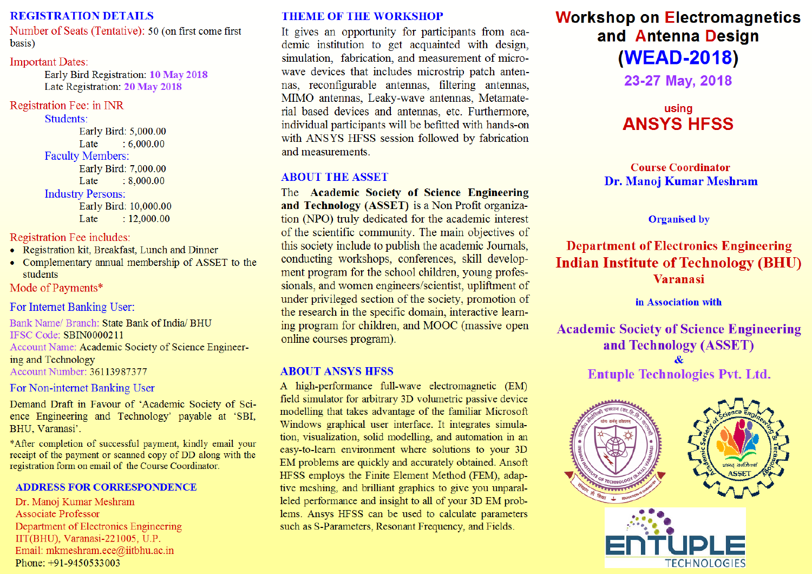#### **REGISTRATION DETAILS**

Number of Seats (Tentative): 50 (on first come first) basis)

#### **Important Dates:**

Early Bird Registration: 10 May 2018 Late Registration: 20 May 2018

#### Registration Fee: in INR

Students: Early Bird: 5,000.00  $: 6,000,00$ Late **Faculty Members:** Early Bird: 7,000.00 Late  $: 8,000.00$ **Industry Persons:** Early Bird: 10,000.00  $: 12,000.00$ Late

Registration Fee includes:

- Registration kit, Breakfast, Lunch and Dinner
- Complementary annual membership of ASSET to the students

Mode of Payments\*

For Internet Banking User:

Bank Name/ Branch: State Bank of India/ BHU IFSC Code: SBIN0000211 Account Name: Academic Society of Science Engineering and Technology Account Number: 36113987377

For Non-internet Banking User

Demand Draft in Favour of 'Academic Society of Science Engineering and Technology' payable at 'SBI, BHU, Varanasi'.

\*After completion of successful payment, kindly email your receipt of the payment or scanned copy of DD along with the registration form on email of the Course Coordinator.

### **ADDRESS FOR CORRESPONDENCE**

Dr. Manoj Kumar Meshram **Associate Professor** Department of Electronics Engineering IIT(BHU), Varanasi-221005, U.P. Email: mkmeshram.ece@iitbhu.ac.in Phone: +91-9450533003

### **THEME OF THE WORKSHOP**

It gives an opportunity for participants from academic institution to get acquainted with design, simulation, fabrication, and measurement of microwave devices that includes microstrip patch antennas, reconfigurable antennas, filtering antennas, MIMO antennas, Leaky-wave antennas, Metamaterial based devices and antennas, etc. Furthermore, individual participants will be befitted with hands-on with ANSYS HFSS session followed by fabrication and measurements.

#### **ABOUT THE ASSET**

The Academic Society of Science Engineering and Technology (ASSET) is a Non Profit organization (NPO) truly dedicated for the academic interest of the scientific community. The main objectives of this society include to publish the academic Journals, conducting workshops, conferences, skill development program for the school children, young professionals, and women engineers/scientist, upliftment of under privileged section of the society, promotion of the research in the specific domain, interactive learning program for children, and MOOC (massive open online courses program).

#### **ABOUT ANSYS HFSS**

A high-performance full-wave electromagnetic (EM) field simulator for arbitrary 3D volumetric passive device modelling that takes advantage of the familiar Microsoft Windows graphical user interface. It integrates simulation, visualization, solid modelling, and automation in an easy-to-learn environment where solutions to your 3D EM problems are quickly and accurately obtained. Ansoft HFSS employs the Finite Element Method (FEM), adaptive meshing, and brilliant graphics to give you unparalleled performance and insight to all of your 3D EM problems. Ansys HFSS can be used to calculate parameters such as S-Parameters, Resonant Frequency, and Fields.

# **Workshop on Electromagnetics** and Antenna Design (WEAD-2018)

23-27 May, 2018

## using **ANSYS HFSS**

#### **Course Coordinator** Dr. Manoj Kumar Meshram

#### **Organised by**

**Department of Electronics Engineering Indian Institute of Technology (BHU) Varanasi** 

in Association with

**Academic Society of Science Engineering** and Technology (ASSET)  $\mathbf{\&}$ 

**Entuple Technologies Pvt. Ltd.**